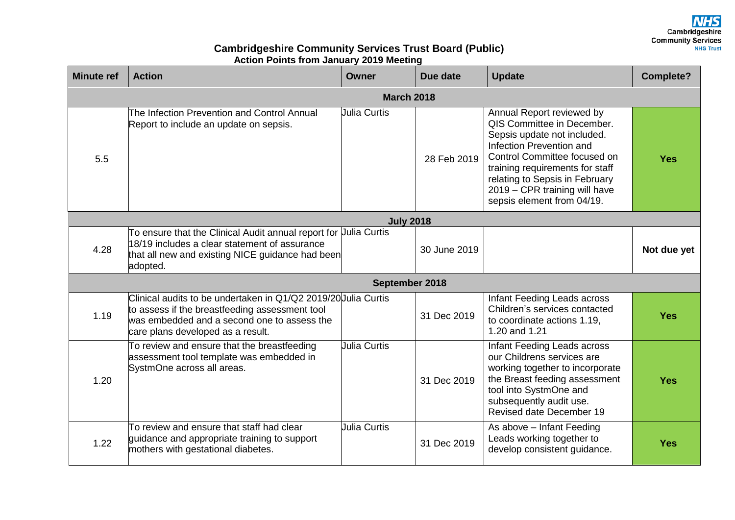Cambridgeshire<br>Community Services **NHS Trust** 

## **Cambridgeshire Community Services Trust Board (Public) Action Points from January 2019 Meeting**

| <b>Minute ref</b> | <b>Action</b>                                                                                                                                                                                        | Owner               | Due date     | <b>Update</b>                                                                                                                                                                                                                                                                          | <b>Complete?</b> |  |  |  |
|-------------------|------------------------------------------------------------------------------------------------------------------------------------------------------------------------------------------------------|---------------------|--------------|----------------------------------------------------------------------------------------------------------------------------------------------------------------------------------------------------------------------------------------------------------------------------------------|------------------|--|--|--|
| <b>March 2018</b> |                                                                                                                                                                                                      |                     |              |                                                                                                                                                                                                                                                                                        |                  |  |  |  |
| 5.5               | The Infection Prevention and Control Annual<br>Report to include an update on sepsis.                                                                                                                | <b>Julia Curtis</b> | 28 Feb 2019  | Annual Report reviewed by<br>QIS Committee in December.<br>Sepsis update not included.<br>Infection Prevention and<br>Control Committee focused on<br>training requirements for staff<br>relating to Sepsis in February<br>2019 - CPR training will have<br>sepsis element from 04/19. | <b>Yes</b>       |  |  |  |
| <b>July 2018</b>  |                                                                                                                                                                                                      |                     |              |                                                                                                                                                                                                                                                                                        |                  |  |  |  |
| 4.28              | To ensure that the Clinical Audit annual report for Uulia Curtis<br>18/19 includes a clear statement of assurance<br>that all new and existing NICE guidance had been<br>adopted.                    |                     | 30 June 2019 |                                                                                                                                                                                                                                                                                        | Not due yet      |  |  |  |
| September 2018    |                                                                                                                                                                                                      |                     |              |                                                                                                                                                                                                                                                                                        |                  |  |  |  |
| 1.19              | Clinical audits to be undertaken in Q1/Q2 2019/20 Julia Curtis<br>to assess if the breastfeeding assessment tool<br>was embedded and a second one to assess the<br>care plans developed as a result. |                     | 31 Dec 2019  | Infant Feeding Leads across<br>Children's services contacted<br>to coordinate actions 1.19,<br>1.20 and 1.21                                                                                                                                                                           | <b>Yes</b>       |  |  |  |
| 1.20              | To review and ensure that the breastfeeding<br>assessment tool template was embedded in<br>SystmOne across all areas.                                                                                | <b>Julia Curtis</b> | 31 Dec 2019  | Infant Feeding Leads across<br>our Childrens services are<br>working together to incorporate<br>the Breast feeding assessment<br>tool into SystmOne and<br>subsequently audit use.<br>Revised date December 19                                                                         | <b>Yes</b>       |  |  |  |
| 1.22              | To review and ensure that staff had clear<br>quidance and appropriate training to support<br>mothers with gestational diabetes.                                                                      | <b>Julia Curtis</b> | 31 Dec 2019  | As above - Infant Feeding<br>Leads working together to<br>develop consistent guidance.                                                                                                                                                                                                 | <b>Yes</b>       |  |  |  |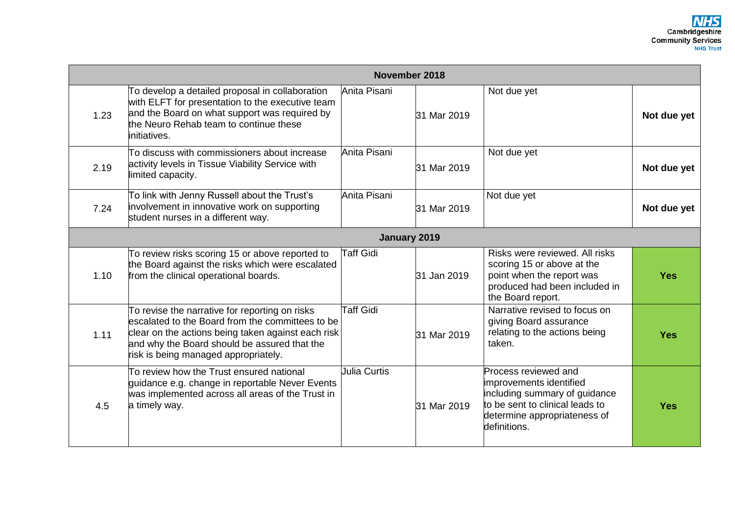| November 2018 |                                                                                                                                                                                                                                                  |                  |             |                                                                                                                                                                     |             |  |
|---------------|--------------------------------------------------------------------------------------------------------------------------------------------------------------------------------------------------------------------------------------------------|------------------|-------------|---------------------------------------------------------------------------------------------------------------------------------------------------------------------|-------------|--|
| 1.23          | To develop a detailed proposal in collaboration<br>with ELFT for presentation to the executive team<br>and the Board on what support was required by<br>the Neuro Rehab team to continue these<br>initiatives.                                   | Anita Pisani     | 31 Mar 2019 | Not due yet                                                                                                                                                         | Not due yet |  |
| 2.19          | To discuss with commissioners about increase<br>activity levels in Tissue Viability Service with<br>limited capacity.                                                                                                                            | Anita Pisani     | 31 Mar 2019 | Not due yet                                                                                                                                                         | Not due yet |  |
| 7.24          | To link with Jenny Russell about the Trust's<br>involvement in innovative work on supporting<br>student nurses in a different way.                                                                                                               | Anita Pisani     | 31 Mar 2019 | Not due yet                                                                                                                                                         | Not due yet |  |
| January 2019  |                                                                                                                                                                                                                                                  |                  |             |                                                                                                                                                                     |             |  |
| 1.10          | To review risks scoring 15 or above reported to<br>the Board against the risks which were escalated<br>from the clinical operational boards.                                                                                                     | <b>Taff Gidi</b> | 31 Jan 2019 | Risks were reviewed. All risks<br>scoring 15 or above at the<br>point when the report was<br>produced had been included in<br>the Board report.                     | <b>Yes</b>  |  |
| 1.11          | To revise the narrative for reporting on risks<br>escalated to the Board from the committees to be<br>clear on the actions being taken against each risk<br>and why the Board should be assured that the<br>risk is being managed appropriately. | <b>Taff Gidi</b> | 31 Mar 2019 | Narrative revised to focus on<br>giving Board assurance<br>relating to the actions being<br>taken.                                                                  | <b>Yes</b>  |  |
| 4.5           | To review how the Trust ensured national<br>guidance e.g. change in reportable Never Events<br>was implemented across all areas of the Trust in<br>a timely way.                                                                                 | Julia Curtis     | 31 Mar 2019 | Process reviewed and<br>improvements identified<br>including summary of guidance<br>to be sent to clinical leads to<br>determine appropriateness of<br>definitions. | <b>Yes</b>  |  |